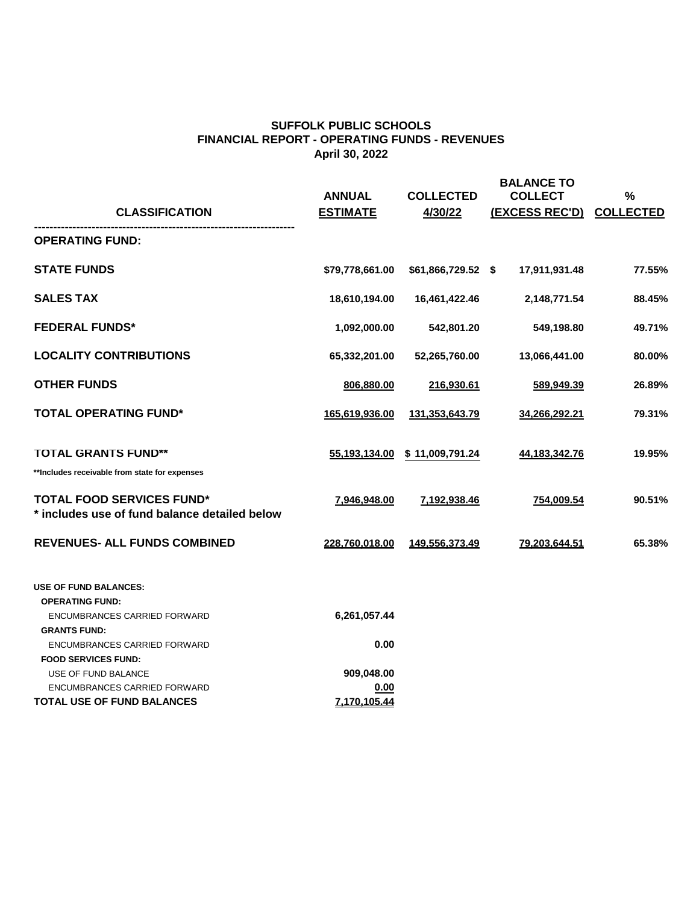| <b>CLASSIFICATION</b>                                                                                         | <b>ANNUAL</b><br><b>ESTIMATE</b> | <b>COLLECTED</b><br>4/30/22 | <b>BALANCE TO</b><br><b>COLLECT</b><br><b>(EXCESS REC'D)</b> | $\frac{0}{0}$<br><b>COLLECTED</b> |
|---------------------------------------------------------------------------------------------------------------|----------------------------------|-----------------------------|--------------------------------------------------------------|-----------------------------------|
| <b>OPERATING FUND:</b>                                                                                        |                                  |                             |                                                              |                                   |
| <b>STATE FUNDS</b>                                                                                            | \$79,778,661.00                  | $$61,866,729.52$ \$         | 17,911,931.48                                                | 77.55%                            |
| <b>SALES TAX</b>                                                                                              | 18,610,194.00                    | 16,461,422.46               | 2,148,771.54                                                 | 88.45%                            |
| <b>FEDERAL FUNDS*</b>                                                                                         | 1,092,000.00                     | 542,801.20                  | 549,198.80                                                   | 49.71%                            |
| <b>LOCALITY CONTRIBUTIONS</b>                                                                                 | 65,332,201.00                    | 52,265,760.00               | 13,066,441.00                                                | 80.00%                            |
| <b>OTHER FUNDS</b>                                                                                            | 806,880.00                       | 216,930.61                  | 589,949.39                                                   | 26.89%                            |
| <b>TOTAL OPERATING FUND*</b>                                                                                  | 165,619,936.00                   | 131,353,643.79              | 34,266,292.21                                                | 79.31%                            |
| <b>TOTAL GRANTS FUND**</b><br>**Includes receivable from state for expenses                                   | 55,193,134.00                    | \$11,009,791.24             | 44,183,342.76                                                | 19.95%                            |
| <b>TOTAL FOOD SERVICES FUND*</b><br>* includes use of fund balance detailed below                             | 7,946,948.00                     | <u>7,192,938.46</u>         | 754,009.54                                                   | 90.51%                            |
| <b>REVENUES- ALL FUNDS COMBINED</b>                                                                           | 228,760,018.00                   | <u>149,556,373.49</u>       | <u>79,203,644.51</u>                                         | 65.38%                            |
| <b>USE OF FUND BALANCES:</b><br><b>OPERATING FUND:</b><br>ENCUMBRANCES CARRIED FORWARD<br><b>GRANTS FUND:</b> | 6,261,057.44                     |                             |                                                              |                                   |

ENCUMBRANCES CARRIED FORWARD **0.00**

## **FOOD SERVICES FUND:**

USE OF FUND BALANCE **909,048.00**

ENCUMBRANCES CARRIED FORWARD **0.00**

**TOTAL USE OF FUND BALANCES 7,170,105.44**

## **SUFFOLK PUBLIC SCHOOLS FINANCIAL REPORT - OPERATING FUNDS - REVENUES April 30, 2022**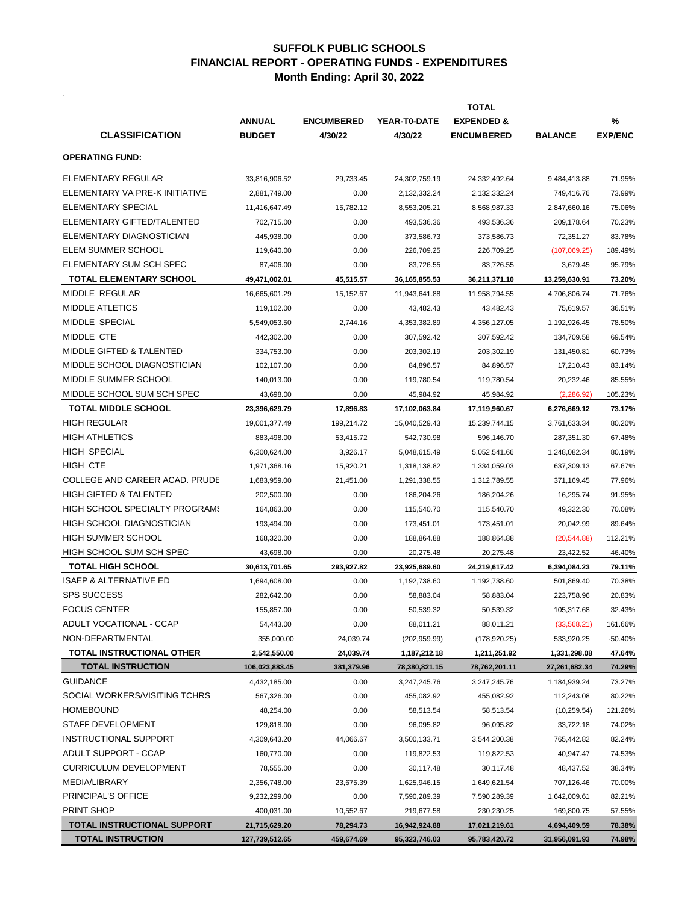.

|                                       |                |                   | <b>TOTAL</b>     |                       |                |                |  |
|---------------------------------------|----------------|-------------------|------------------|-----------------------|----------------|----------------|--|
|                                       | <b>ANNUAL</b>  | <b>ENCUMBERED</b> | YEAR-T0-DATE     | <b>EXPENDED &amp;</b> |                | $\frac{0}{0}$  |  |
| <b>CLASSIFICATION</b>                 | <b>BUDGET</b>  | 4/30/22           | 4/30/22          | <b>ENCUMBERED</b>     | <b>BALANCE</b> | <b>EXP/ENC</b> |  |
| <b>OPERATING FUND:</b>                |                |                   |                  |                       |                |                |  |
| <b>ELEMENTARY REGULAR</b>             | 33,816,906.52  | 29,733.45         | 24,302,759.19    | 24,332,492.64         | 9,484,413.88   | 71.95%         |  |
| ELEMENTARY VA PRE-K INITIATIVE        | 2,881,749.00   | 0.00              | 2,132,332.24     | 2,132,332.24          | 749,416.76     | 73.99%         |  |
| <b>ELEMENTARY SPECIAL</b>             | 11,416,647.49  | 15,782.12         | 8,553,205.21     | 8,568,987.33          | 2,847,660.16   | 75.06%         |  |
| ELEMENTARY GIFTED/TALENTED            | 702,715.00     | 0.00              | 493,536.36       | 493,536.36            | 209,178.64     | 70.23%         |  |
| ELEMENTARY DIAGNOSTICIAN              | 445,938.00     | 0.00              | 373,586.73       | 373,586.73            | 72,351.27      | 83.78%         |  |
| <b>ELEM SUMMER SCHOOL</b>             | 119,640.00     | 0.00              | 226,709.25       | 226,709.25            | (107,069.25)   | 189.49%        |  |
| ELEMENTARY SUM SCH SPEC               | 87,406.00      | 0.00              | 83,726.55        | 83,726.55             | 3,679.45       | 95.79%         |  |
| <b>TOTAL ELEMENTARY SCHOOL</b>        | 49,471,002.01  | 45,515.57         | 36, 165, 855. 53 | 36,211,371.10         | 13,259,630.91  | 73.20%         |  |
| <b>MIDDLE REGULAR</b>                 | 16,665,601.29  | 15,152.67         | 11,943,641.88    | 11,958,794.55         | 4,706,806.74   | 71.76%         |  |
| <b>MIDDLE ATLETICS</b>                | 119,102.00     | 0.00              | 43,482.43        | 43,482.43             | 75,619.57      | 36.51%         |  |
| <b>MIDDLE SPECIAL</b>                 | 5,549,053.50   | 2,744.16          | 4,353,382.89     | 4,356,127.05          | 1,192,926.45   | 78.50%         |  |
| MIDDLE CTE                            | 442,302.00     | 0.00              | 307,592.42       | 307,592.42            | 134,709.58     | 69.54%         |  |
| <b>MIDDLE GIFTED &amp; TALENTED</b>   | 334,753.00     | 0.00              | 203,302.19       | 203,302.19            | 131,450.81     | 60.73%         |  |
| MIDDLE SCHOOL DIAGNOSTICIAN           | 102,107.00     | 0.00              | 84,896.57        | 84,896.57             | 17,210.43      | 83.14%         |  |
| MIDDLE SUMMER SCHOOL                  | 140,013.00     | 0.00              | 119,780.54       | 119,780.54            | 20,232.46      | 85.55%         |  |
| MIDDLE SCHOOL SUM SCH SPEC            | 43,698.00      | 0.00              | 45,984.92        | 45,984.92             | (2,286.92)     | 105.23%        |  |
| <b>TOTAL MIDDLE SCHOOL</b>            | 23,396,629.79  | 17,896.83         | 17,102,063.84    | 17,119,960.67         | 6,276,669.12   | 73.17%         |  |
| <b>HIGH REGULAR</b>                   | 19,001,377.49  | 199,214.72        | 15,040,529.43    | 15,239,744.15         | 3,761,633.34   | 80.20%         |  |
| <b>HIGH ATHLETICS</b>                 | 883,498.00     | 53,415.72         | 542,730.98       | 596,146.70            | 287,351.30     | 67.48%         |  |
| <b>HIGH SPECIAL</b>                   | 6,300,624.00   | 3,926.17          | 5,048,615.49     | 5,052,541.66          | 1,248,082.34   | 80.19%         |  |
| <b>HIGH CTE</b>                       | 1,971,368.16   | 15,920.21         | 1,318,138.82     | 1,334,059.03          | 637,309.13     | 67.67%         |  |
| COLLEGE AND CAREER ACAD. PRUDE        | 1,683,959.00   | 21,451.00         | 1,291,338.55     | 1,312,789.55          | 371,169.45     | 77.96%         |  |
| <b>HIGH GIFTED &amp; TALENTED</b>     | 202,500.00     | 0.00              | 186,204.26       | 186,204.26            | 16,295.74      | 91.95%         |  |
| <b>HIGH SCHOOL SPECIALTY PROGRAMS</b> | 164,863.00     | 0.00              | 115,540.70       | 115,540.70            | 49,322.30      | 70.08%         |  |
| <b>HIGH SCHOOL DIAGNOSTICIAN</b>      | 193,494.00     | 0.00              | 173,451.01       | 173,451.01            | 20,042.99      | 89.64%         |  |
| <b>HIGH SUMMER SCHOOL</b>             | 168,320.00     | 0.00              | 188,864.88       | 188,864.88            | (20, 544.88)   | 112.21%        |  |
| HIGH SCHOOL SUM SCH SPEC              | 43,698.00      | 0.00              | 20,275.48        | 20,275.48             | 23,422.52      | 46.40%         |  |
| <b>TOTAL HIGH SCHOOL</b>              | 30,613,701.65  | 293,927.82        | 23,925,689.60    | 24,219,617.42         | 6,394,084.23   | 79.11%         |  |
| <b>ISAEP &amp; ALTERNATIVE ED</b>     | 1,694,608.00   | 0.00              | 1,192,738.60     | 1,192,738.60          | 501,869.40     | 70.38%         |  |
| <b>SPS SUCCESS</b>                    | 282,642.00     | 0.00              | 58,883.04        | 58,883.04             | 223,758.96     | 20.83%         |  |
| <b>FOCUS CENTER</b>                   | 155,857.00     | 0.00              | 50,539.32        | 50,539.32             | 105,317.68     | 32.43%         |  |
| <b>ADULT VOCATIONAL - CCAP</b>        | 54,443.00      | 0.00              | 88,011.21        | 88,011.21             | (33, 568.21)   | 161.66%        |  |
| NON-DEPARTMENTAL                      | 355,000.00     | 24,039.74         | (202, 959.99)    | (178, 920.25)         | 533,920.25     | $-50.40%$      |  |
| TOTAL INSTRUCTIONAL OTHER             | 2,542,550.00   | 24,039.74         | 1,187,212.18     | 1,211,251.92          | 1,331,298.08   | 47.64%         |  |
| <b>TOTAL INSTRUCTION</b>              | 106,023,883.45 | 381,379.96        | 78,380,821.15    | 78,762,201.11         | 27,261,682.34  | 74.29%         |  |
| <b>GUIDANCE</b>                       | 4,432,185.00   | 0.00              | 3,247,245.76     | 3,247,245.76          | 1,184,939.24   | 73.27%         |  |
| SOCIAL WORKERS/VISITING TCHRS         | 567,326.00     | 0.00              | 455,082.92       | 455,082.92            | 112,243.08     | 80.22%         |  |
| <b>HOMEBOUND</b>                      | 48,254.00      | 0.00              | 58,513.54        | 58,513.54             | (10, 259.54)   | 121.26%        |  |
| <b>STAFF DEVELOPMENT</b>              | 129,818.00     | 0.00              | 96,095.82        | 96,095.82             | 33,722.18      | 74.02%         |  |
| <b>INSTRUCTIONAL SUPPORT</b>          | 4,309,643.20   | 44,066.67         | 3,500,133.71     | 3,544,200.38          | 765,442.82     | 82.24%         |  |
| <b>ADULT SUPPORT - CCAP</b>           | 160,770.00     | 0.00              | 119,822.53       | 119,822.53            | 40,947.47      | 74.53%         |  |
| <b>CURRICULUM DEVELOPMENT</b>         | 78,555.00      | 0.00              | 30,117.48        | 30,117.48             | 48,437.52      | 38.34%         |  |
| <b>MEDIA/LIBRARY</b>                  | 2,356,748.00   | 23,675.39         | 1,625,946.15     | 1,649,621.54          | 707,126.46     | 70.00%         |  |
| <b>PRINCIPAL'S OFFICE</b>             | 9,232,299.00   | 0.00              | 7,590,289.39     | 7,590,289.39          | 1,642,009.61   | 82.21%         |  |
| <b>PRINT SHOP</b>                     | 400,031.00     | 10,552.67         | 219,677.58       | 230,230.25            | 169,800.75     | 57.55%         |  |
| TOTAL INSTRUCTIONAL SUPPORT           | 21,715,629.20  | 78,294.73         | 16,942,924.88    | 17,021,219.61         | 4,694,409.59   | 78.38%         |  |
| <b>TOTAL INSTRUCTION</b>              | 127,739,512.65 | 459,674.69        | 95,323,746.03    | 95,783,420.72         | 31,956,091.93  | 74.98%         |  |

## **SUFFOLK PUBLIC SCHOOLS FINANCIAL REPORT - OPERATING FUNDS - EXPENDITURES Month Ending: April 30, 2022**